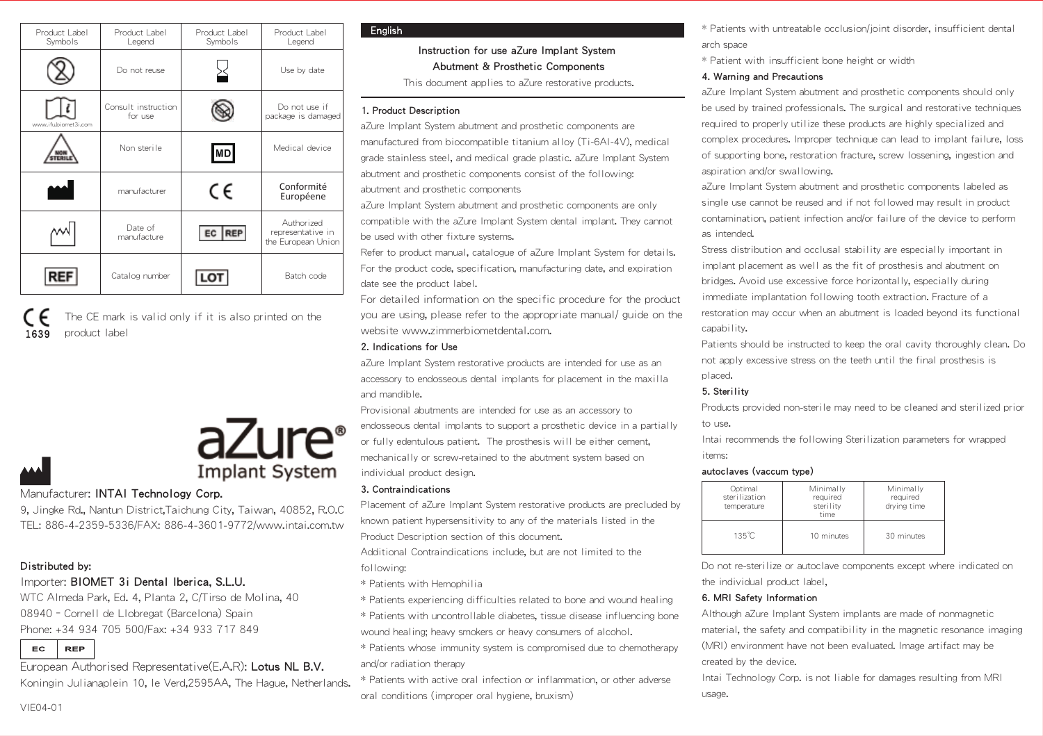| Product Label<br>Symbols | Product Label<br>Legend        | Product Label<br>Symbols | Product Label<br>Legend                               |
|--------------------------|--------------------------------|--------------------------|-------------------------------------------------------|
|                          | Do not reuse                   |                          | Use by date                                           |
| www.ifubiamet3i.com      | Consult instruction<br>for use |                          | Do not use if<br>package is damaged                   |
|                          | Non sterille                   | <b>MD</b>                | Medical device                                        |
|                          | manufacturer                   | CE                       | Conformité<br>Européene                               |
|                          | Date of<br>manufacture.        | <b>REP</b>               | Authorized<br>representative in<br>the European Union |
| <b>REF</b>               | Catalog number                 | LOT                      | Batch code                                            |

1639 The CE mark is valid only if it is also printed on the product label



## Manufacturer: INTAI Technology Corp.

9, Jingke Rd., Nantun District,Taichung City, Taiwan, 40852, R.O.C TEL: 886-4-2359-5336/FAX: 886-4-3601-9772/www.intai.com.tw

# Distributed by:

# Importer: BIOMET 3i Dental Iberica, S.L.U.

WTC Almeda Park, Ed. 4, Planta 2, C/Tirso de Molina, 40 08940–Cornell de Llobregat (Barcelona) Spain Phone: +34 934 705 500/Fax: +34 933 717 849

EC **REP** 

European Authorised Representative(E.A.R): Lotus NL B.V. Koningin Julianaplein 10, le Verd,2595AA, The Hague, Netherlands.

#### **Fnalish**

# Instruction for use aZure Implant System Abutment & Prosthetic Components

This document applies to aZure restorative products.

# 1. Product Description

aZure Implant System abutment and prosthetic components are manufactured from biocompatible titanium alloy (Ti-6Al-4V), medical grade stainless steel, and medical grade plastic. aZure Implant System abutment and prosthetic components consist of the following: abutment and prosthetic components

aZure Implant System abutment and prosthetic components are only compatible with the aZure Implant System dental implant. They cannot be used with other fixture systems.

Refer to product manual, catalogue of aZure Implant System for details. For the product code, specification, manufacturing date, and expiration date see the product label.

For detailed information on the specific procedure for the product you are using, please refer to the appropriate manual/ guide on the website www.zimmerbiometdental.com.

# 2. Indications for Use

aZure Implant System restorative products are intended for use as an accessory to endosseous dental implants for placement in the maxilla and mandible.

Provisional abutments are intended for use as an accessory to

endosseous dental implants to support a prosthetic device in a partially or fully edentulous patient. The prosthesis will be either cement, mechanically or screw-retained to the abutment system based on

Placement of aZure Implant System restorative products are precluded by known patient hypersensitivity to any of the materials listed in the Product Description section of this document.

Additional Contraindications include, but are not limited to the following:

- \* Patients with Hemophilia
- \* Patients experiencing difficulties related to bone and wound healing
- \* Patients with uncontrollable diabetes, tissue disease influencing bone wound healing; heavy smokers or heavy consumers of alcohol.
- \* Patients whose immunity system is compromised due to chemotherapy and/or radiation therapy
- \* Patients with active oral infection or inflammation, or other adverse oral conditions (improper oral hygiene, bruxism)
- \* Patients with untreatable occlusion/joint disorder, insufficient dental arch space
- \* Patient with insufficient bone height or width

#### 4. Warning and Precautions

aZure Implant System abutment and prosthetic components should only be used by trained professionals. The surgical and restorative techniques required to properly utilize these products are highly specialized and complex procedures. Improper technique can lead to implant failure, loss of supporting bone, restoration fracture, screw lossening, ingestion and aspiration and/or swallowing.

aZure Implant System abutment and prosthetic components labeled as single use cannot be reused and if not followed may result in product contamination, patient infection and/or failure of the device to perform as intended.

Stress distribution and occlusal stability are especially important in implant placement as well as the fit of prosthesis and abutment on bridges. Avoid use excessive force horizontally, especially during immediate implantation following tooth extraction. Fracture of a restoration may occur when an abutment is loaded beyond its functional capability.

Patients should be instructed to keep the oral cavity thoroughly clean. Do not apply excessive stress on the teeth until the final prosthesis is placed.

## 5. Sterility

Products provided non-sterile may need to be cleaned and sterilized prior to use.

Intai recommends the following Sterilization parameters for wrapped items:

#### autoclaves (vaccum type)

| Optimal<br>sterilization<br>temperature | Minimally<br>required<br>sterility<br>time | Minimally<br>required<br>drving time |
|-----------------------------------------|--------------------------------------------|--------------------------------------|
| 135°C                                   | 10 minutes                                 | 30 minutes                           |

Do not re-sterilize or autoclave components except where indicated on the individual product label,

#### 6. MRI Safety Information

Although aZure Implant System implants are made of nonmagnetic material, the safety and compatibility in the magnetic resonance imaging (MRI) environment have not been evaluated. Image artifact may be created by the device.

Intai Technology Corp. is not liable for damages resulting from MRI usage.

individual product design. 3. Contraindications